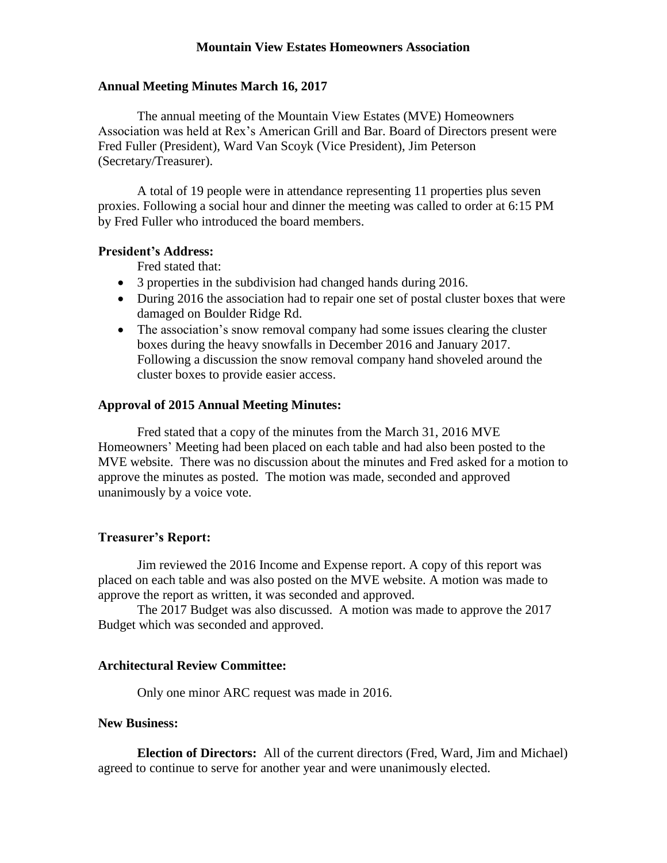# **Mountain View Estates Homeowners Association**

## **Annual Meeting Minutes March 16, 2017**

The annual meeting of the Mountain View Estates (MVE) Homeowners Association was held at Rex's American Grill and Bar. Board of Directors present were Fred Fuller (President), Ward Van Scoyk (Vice President), Jim Peterson (Secretary/Treasurer).

A total of 19 people were in attendance representing 11 properties plus seven proxies. Following a social hour and dinner the meeting was called to order at 6:15 PM by Fred Fuller who introduced the board members.

# **President's Address:**

Fred stated that:

- 3 properties in the subdivision had changed hands during 2016.
- During 2016 the association had to repair one set of postal cluster boxes that were damaged on Boulder Ridge Rd.
- The association's snow removal company had some issues clearing the cluster boxes during the heavy snowfalls in December 2016 and January 2017. Following a discussion the snow removal company hand shoveled around the cluster boxes to provide easier access.

### **Approval of 2015 Annual Meeting Minutes:**

Fred stated that a copy of the minutes from the March 31, 2016 MVE Homeowners' Meeting had been placed on each table and had also been posted to the MVE website. There was no discussion about the minutes and Fred asked for a motion to approve the minutes as posted. The motion was made, seconded and approved unanimously by a voice vote.

#### **Treasurer's Report:**

Jim reviewed the 2016 Income and Expense report. A copy of this report was placed on each table and was also posted on the MVE website. A motion was made to approve the report as written, it was seconded and approved.

The 2017 Budget was also discussed. A motion was made to approve the 2017 Budget which was seconded and approved.

## **Architectural Review Committee:**

Only one minor ARC request was made in 2016.

### **New Business:**

**Election of Directors:** All of the current directors (Fred, Ward, Jim and Michael) agreed to continue to serve for another year and were unanimously elected.